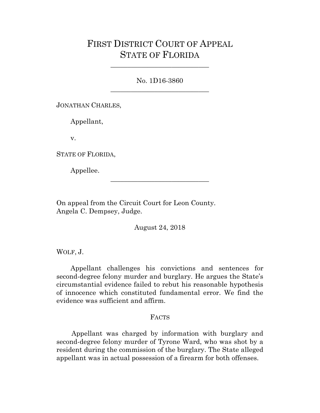## FIRST DISTRICT COURT OF APPEAL STATE OF FLORIDA

No. 1D16-3860 \_\_\_\_\_\_\_\_\_\_\_\_\_\_\_\_\_\_\_\_\_\_\_\_\_\_\_\_\_

\_\_\_\_\_\_\_\_\_\_\_\_\_\_\_\_\_\_\_\_\_\_\_\_\_\_\_\_\_

JONATHAN CHARLES,

Appellant,

v.

STATE OF FLORIDA,

Appellee.

On appeal from the Circuit Court for Leon County. Angela C. Dempsey, Judge.

August 24, 2018

\_\_\_\_\_\_\_\_\_\_\_\_\_\_\_\_\_\_\_\_\_\_\_\_\_\_\_\_\_

WOLF, J.

Appellant challenges his convictions and sentences for second-degree felony murder and burglary. He argues the State's circumstantial evidence failed to rebut his reasonable hypothesis of innocence which constituted fundamental error. We find the evidence was sufficient and affirm.

## FACTS

 Appellant was charged by information with burglary and second-degree felony murder of Tyrone Ward, who was shot by a resident during the commission of the burglary. The State alleged appellant was in actual possession of a firearm for both offenses.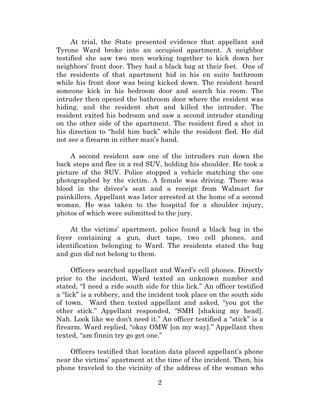At trial, the State presented evidence that appellant and Tyrone Ward broke into an occupied apartment. A neighbor testified she saw two men working together to kick down her neighbors' front door. They had a black bag at their feet. One of the residents of that apartment hid in his en suite bathroom while his front door was being kicked down. The resident heard someone kick in his bedroom door and search his room. The intruder then opened the bathroom door where the resident was hiding, and the resident shot and killed the intruder. The resident exited his bedroom and saw a second intruder standing on the other side of the apartment. The resident fired a shot in his direction to "hold him back" while the resident fled. He did not see a firearm in either man's hand.

A second resident saw one of the intruders run down the back steps and flee in a red SUV, holding his shoulder. He took a picture of the SUV. Police stopped a vehicle matching the one photographed by the victim. A female was driving. There was blood in the driver's seat and a receipt from Walmart for painkillers. Appellant was later arrested at the home of a second woman. He was taken to the hospital for a shoulder injury, photos of which were submitted to the jury.

At the victims' apartment, police found a black bag in the foyer containing a gun, duct tape, two cell phones, and identification belonging to Ward. The residents stated the bag and gun did not belong to them.

Officers searched appellant and Ward's cell phones. Directly prior to the incident, Ward texted an unknown number and stated, "I need a ride south side for this lick." An officer testified a "lick" is a robbery, and the incident took place on the south side of town. Ward then texted appellant and asked, "you got the other stick." Appellant responded, "SMH [shaking my head]. Nah. Look like we don't need it." An officer testified a "stick" is a firearm. Ward replied, "okay OMW [on my way]." Appellant then texted, "am finnin try go get one."

Officers testified that location data placed appellant's phone near the victims' apartment at the time of the incident. Then, his phone traveled to the vicinity of the address of the woman who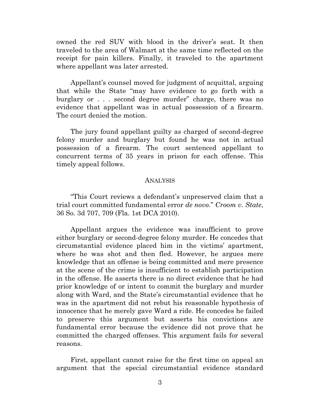owned the red SUV with blood in the driver's seat. It then traveled to the area of Walmart at the same time reflected on the receipt for pain killers. Finally, it traveled to the apartment where appellant was later arrested.

Appellant's counsel moved for judgment of acquittal, arguing that while the State "may have evidence to go forth with a burglary or . . . second degree murder" charge, there was no evidence that appellant was in actual possession of a firearm. The court denied the motion.

The jury found appellant guilty as charged of second-degree felony murder and burglary but found he was not in actual possession of a firearm. The court sentenced appellant to concurrent terms of 35 years in prison for each offense. This timely appeal follows.

## ANALYSIS

"This Court reviews a defendant's unpreserved claim that a trial court committed fundamental error *de novo*." *Croom v. State*, 36 So. 3d 707, 709 (Fla. 1st DCA 2010).

Appellant argues the evidence was insufficient to prove either burglary or second-degree felony murder. He concedes that circumstantial evidence placed him in the victims' apartment, where he was shot and then fled. However, he argues mere knowledge that an offense is being committed and mere presence at the scene of the crime is insufficient to establish participation in the offense. He asserts there is no direct evidence that he had prior knowledge of or intent to commit the burglary and murder along with Ward, and the State's circumstantial evidence that he was in the apartment did not rebut his reasonable hypothesis of innocence that he merely gave Ward a ride. He concedes he failed to preserve this argument but asserts his convictions are fundamental error because the evidence did not prove that he committed the charged offenses. This argument fails for several reasons.

First, appellant cannot raise for the first time on appeal an argument that the special circumstantial evidence standard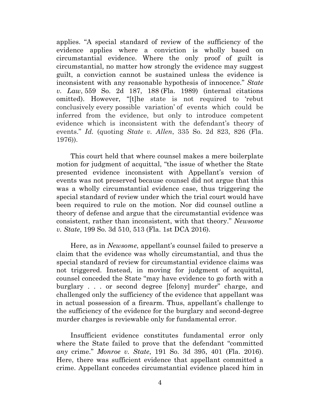applies. "A special standard of review of the sufficiency of the evidence applies where a conviction is wholly based on circumstantial evidence. Where the only proof of guilt is circumstantial, no matter how strongly the evidence may suggest guilt, a conviction cannot be sustained unless the evidence is inconsistent with any reasonable hypothesis of innocence." *State v. Law*, 559 So. 2d 187, 188 (Fla. 1989) (internal citations omitted). However, "[t]he state is not required to 'rebut conclusively every possible variation' of events which could be inferred from the evidence, but only to introduce competent evidence which is inconsistent with the defendant's theory of events." *Id.* (quoting *State v. Allen*, 335 So. 2d 823, 826 (Fla. 1976)).

This court held that where counsel makes a mere boilerplate motion for judgment of acquittal, "the issue of whether the State presented evidence inconsistent with Appellant's version of events was not preserved because counsel did not argue that this was a wholly circumstantial evidence case, thus triggering the special standard of review under which the trial court would have been required to rule on the motion. Nor did counsel outline a theory of defense and argue that the circumstantial evidence was consistent, rather than inconsistent, with that theory." *Newsome v. State*, 199 So. 3d 510, 513 (Fla. 1st DCA 2016).

Here, as in *Newsome*, appellant's counsel failed to preserve a claim that the evidence was wholly circumstantial, and thus the special standard of review for circumstantial evidence claims was not triggered. Instead, in moving for judgment of acquittal, counsel conceded the State "may have evidence to go forth with a burglary . . . or second degree [felony] murder" charge, and challenged only the sufficiency of the evidence that appellant was in actual possession of a firearm. Thus, appellant's challenge to the sufficiency of the evidence for the burglary and second-degree murder charges is reviewable only for fundamental error.

Insufficient evidence constitutes fundamental error only where the State failed to prove that the defendant "committed *any* crime." *Monroe v. State*, 191 So. 3d 395, 401 (Fla. 2016). Here, there was sufficient evidence that appellant committed a crime. Appellant concedes circumstantial evidence placed him in